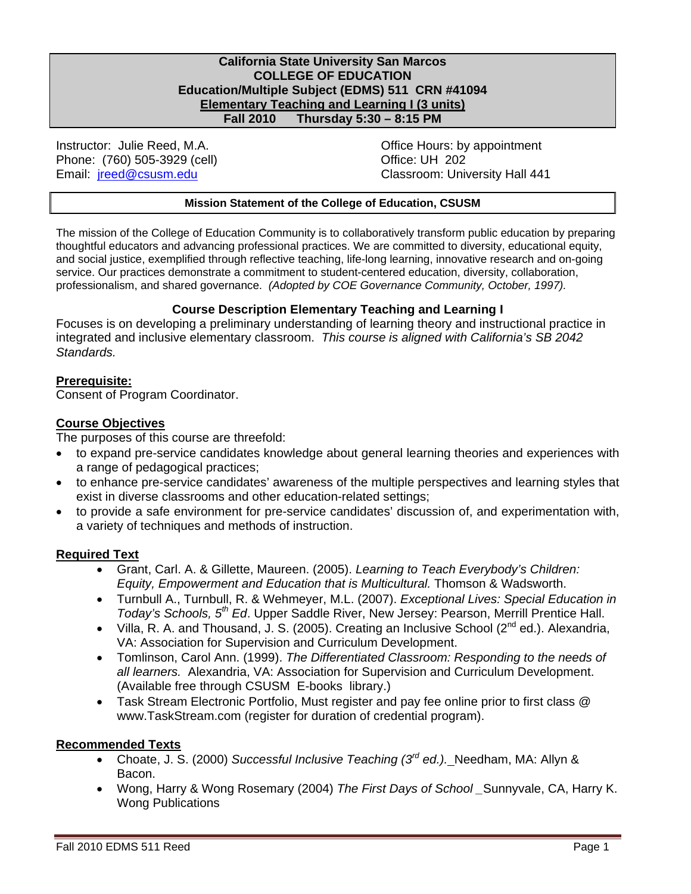#### **California State University San Marcos COLLEGE OF EDUCATION Education/Multiple Subject (EDMS) 511 CRN #41094 Elementary Teaching and Learning I (3 units) Fall 2010 Thursday 5:30 – 8:15 PM**

Instructor: Julie Reed, M.A. Email: jreed@csusm.edu Phone: (760) 505-3929 (cell) Change Control Control Control Control Control Control Control Control Control Control Control Control Control Control Control Control Control Control Control Control Control Control Control Co

Office Hours: by appointment Classroom: University Hall 441

#### **Mission Statement of the College of Education, CSUSM**

 professionalism, and shared governance. *(Adopted by COE Governance Community, October, 1997).*  The mission of the College of Education Community is to collaboratively transform public education by preparing thoughtful educators and advancing professional practices. We are committed to diversity, educational equity, and social justice, exemplified through reflective teaching, life-long learning, innovative research and on-going service. Our practices demonstrate a commitment to student-centered education, diversity, collaboration,

#### **Course Description Elementary Teaching and Learning I**

Focuses is on developing a preliminary understanding of learning theory and instructional practice in integrated and inclusive elementary classroom. *This course is aligned with California's SB 2042 Standards.* 

#### **Prerequisite:**

Consent of Program Coordinator.

#### **Course Objectives**

The purposes of this course are threefold:

- to expand pre-service candidates knowledge about general learning theories and experiences with a range of pedagogical practices;
- to enhance pre-service candidates' awareness of the multiple perspectives and learning styles that exist in diverse classrooms and other education-related settings;
- to provide a safe environment for pre-service candidates' discussion of, and experimentation with, a variety of techniques and methods of instruction.

#### **Required Text**

- Grant, Carl. A. & Gillette, Maureen. (2005). *Learning to Teach Everybody's Children: Equity, Empowerment and Education that is Multicultural.* Thomson & Wadsworth.
- Turnbull A., Turnbull, R. & Wehmeyer, M.L. (2007). *Exceptional Lives: Special Education in Today's Schools, 5th Ed*. Upper Saddle River, New Jersey: Pearson, Merrill Prentice Hall.
- Villa, R. A. and Thousand, J. S. (2005). Creating an Inclusive School ( $2^{nd}$  ed.). Alexandria, VA: Association for Supervision and Curriculum Development.
- Tomlinson, Carol Ann. (1999). *The Differentiated Classroom: Responding to the needs of all learners.* Alexandria, VA: Association for Supervision and Curriculum Development. (Available free through CSUSM E-books library.)
- Task Stream Electronic Portfolio, Must register and pay fee online prior to first class @ www.TaskStream.com (register for duration of credential program).

#### **Recommended Texts**

- Choate, J. S. (2000) *Successful Inclusive Teaching (3rd ed.).* Needham, MA: Allyn & Bacon.
- Wong, Harry & Wong Rosemary (2004) *The First Days of School \_*Sunnyvale, CA, Harry K. Wong Publications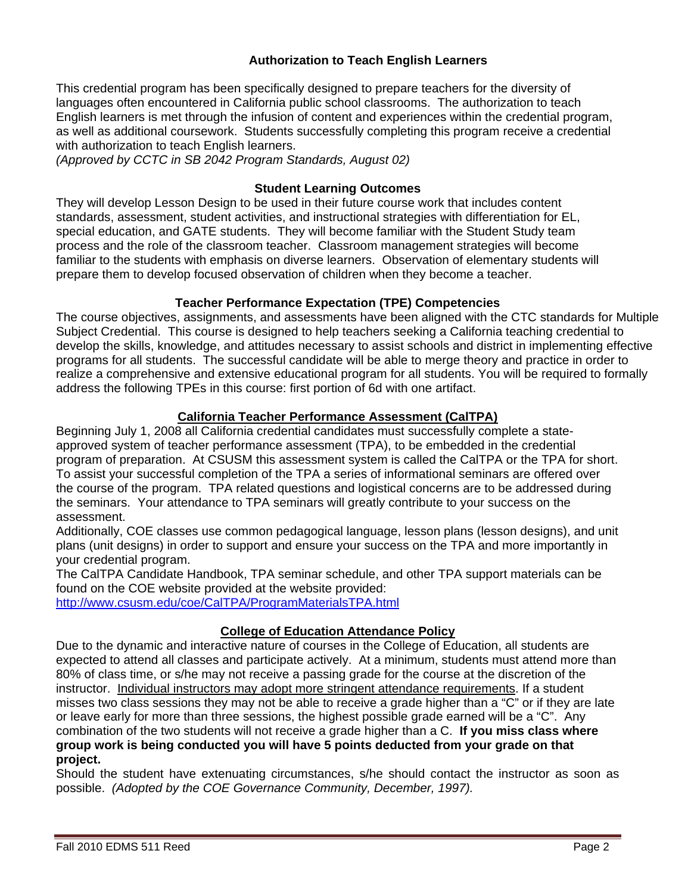## **Authorization to Teach English Learners**

This credential program has been specifically designed to prepare teachers for the diversity of languages often encountered in California public school classrooms. The authorization to teach English learners is met through the infusion of content and experiences within the credential program, as well as additional coursework. Students successfully completing this program receive a credential with authorization to teach English learners.

*(Approved by CCTC in SB 2042 Program Standards, August 02)* 

#### **Student Learning Outcomes**

They will develop Lesson Design to be used in their future course work that includes content standards, assessment, student activities, and instructional strategies with differentiation for EL, special education, and GATE students. They will become familiar with the Student Study team process and the role of the classroom teacher. Classroom management strategies will become familiar to the students with emphasis on diverse learners. Observation of elementary students will prepare them to develop focused observation of children when they become a teacher.

#### **Teacher Performance Expectation (TPE) Competencies**

The course objectives, assignments, and assessments have been aligned with the CTC standards for Multiple Subject Credential. This course is designed to help teachers seeking a California teaching credential to develop the skills, knowledge, and attitudes necessary to assist schools and district in implementing effective programs for all students. The successful candidate will be able to merge theory and practice in order to realize a comprehensive and extensive educational program for all students. You will be required to formally address the following TPEs in this course: first portion of 6d with one artifact.

#### **California Teacher Performance Assessment (CalTPA)**

Beginning July 1, 2008 all California credential candidates must successfully complete a stateapproved system of teacher performance assessment (TPA), to be embedded in the credential program of preparation. At CSUSM this assessment system is called the CalTPA or the TPA for short. To assist your successful completion of the TPA a series of informational seminars are offered over the course of the program. TPA related questions and logistical concerns are to be addressed during the seminars. Your attendance to TPA seminars will greatly contribute to your success on the assessment.

Additionally, COE classes use common pedagogical language, lesson plans (lesson designs), and unit plans (unit designs) in order to support and ensure your success on the TPA and more importantly in your credential program.

The CalTPA Candidate Handbook, TPA seminar schedule, and other TPA support materials can be found on the COE website provided at the website provided:

http://www.csusm.edu/coe/CalTPA/ProgramMaterialsTPA.html

#### **College of Education Attendance Policy**

Due to the dynamic and interactive nature of courses in the College of Education, all students are expected to attend all classes and participate actively. At a minimum, students must attend more than 80% of class time, or s/he may not receive a passing grade for the course at the discretion of the instructor. Individual instructors may adopt more stringent attendance requirements. If a student misses two class sessions they may not be able to receive a grade higher than a "C" or if they are late or leave early for more than three sessions, the highest possible grade earned will be a "C". Any combination of the two students will not receive a grade higher than a C. **If you miss class where group work is being conducted you will have 5 points deducted from your grade on that project.** 

 possible. *(Adopted by the COE Governance Community, December, 1997).*  Should the student have extenuating circumstances, s/he should contact the instructor as soon as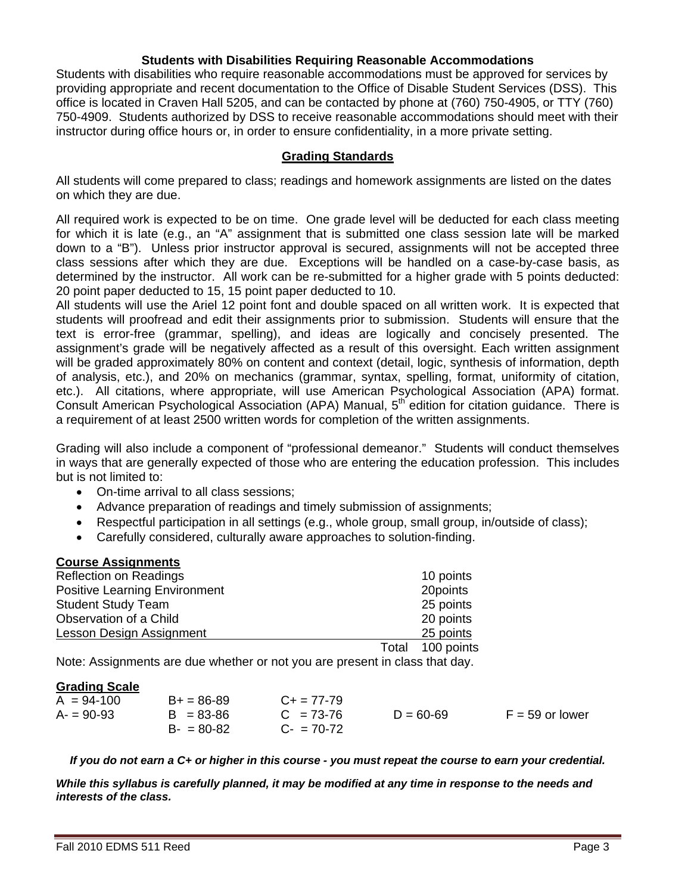#### **Students with Disabilities Requiring Reasonable Accommodations**

Students with disabilities who require reasonable accommodations must be approved for services by providing appropriate and recent documentation to the Office of Disable Student Services (DSS). This office is located in Craven Hall 5205, and can be contacted by phone at (760) 750-4905, or TTY (760) 750-4909. Students authorized by DSS to receive reasonable accommodations should meet with their instructor during office hours or, in order to ensure confidentiality, in a more private setting.

#### **Grading Standards**

All students will come prepared to class; readings and homework assignments are listed on the dates on which they are due.

determined by the instructor. All work can be re-submitted for a higher grade with 5 points deducted:<br>20 point paper deducted to 15, 15 point paper deducted to 10. All required work is expected to be on time. One grade level will be deducted for each class meeting for which it is late (e.g., an "A" assignment that is submitted one class session late will be marked down to a "B"). Unless prior instructor approval is secured, assignments will not be accepted three class sessions after which they are due. Exceptions will be handled on a case-by-case basis, as

etc.). All citations, where appropriate, will use American Psychological Association (APA) format. All students will use the Ariel 12 point font and double spaced on all written work. It is expected that students will proofread and edit their assignments prior to submission. Students will ensure that the text is error-free (grammar, spelling), and ideas are logically and concisely presented. The assignment's grade will be negatively affected as a result of this oversight. Each written assignment will be graded approximately 80% on content and context (detail, logic, synthesis of information, depth of analysis, etc.), and 20% on mechanics (grammar, syntax, spelling, format, uniformity of citation, Consult American Psychological Association (APA) Manual, 5<sup>th</sup> edition for citation guidance. There is a requirement of at least 2500 written words for completion of the written assignments.

Grading will also include a component of "professional demeanor." Students will conduct themselves in ways that are generally expected of those who are entering the education profession. This includes but is not limited to:

- On-time arrival to all class sessions;
- Advance preparation of readings and timely submission of assignments;
- Respectful participation in all settings (e.g., whole group, small group, in/outside of class);
- Carefully considered, culturally aware approaches to solution-finding.

#### **Course Assignments**

| <b>Reflection on Readings</b>        |       | 10 points  |
|--------------------------------------|-------|------------|
| <b>Positive Learning Environment</b> |       | 20points   |
| <b>Student Study Team</b>            |       | 25 points  |
| Observation of a Child               |       | 20 points  |
| Lesson Design Assignment             |       | 25 points  |
|                                      | Total | 100 points |

Note: Assignments are due whether or not you are present in class that day.

#### **Grading Scale**

| $A = 94-100$ | $B+ = 86-89$  | $C_{+}$ = 77-79 |               |                   |
|--------------|---------------|-----------------|---------------|-------------------|
| $A = 90-93$  | $B = 83 - 86$ | $C = 73-76$     | $D = 60 - 69$ | $F = 59$ or lower |
|              | $B - 80 - 82$ | $C - 70-72$     |               |                   |

*If you do not earn a C+ or higher in this course - you must repeat the course to earn your credential.* 

*While this syllabus is carefully planned, it may be modified at any time in response to the needs and interests of the class.*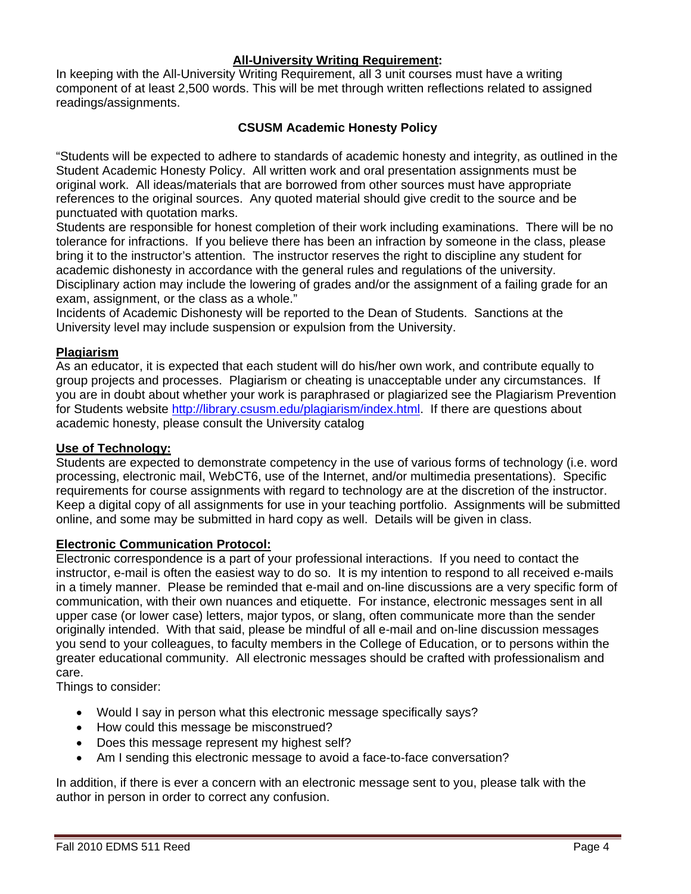#### **All-University Writing Requirement:**

In keeping with the All-University Writing Requirement, all 3 unit courses must have a writing component of at least 2,500 words. This will be met through written reflections related to assigned readings/assignments.

## **CSUSM Academic Honesty Policy**

"Students will be expected to adhere to standards of academic honesty and integrity, as outlined in the Student Academic Honesty Policy. All written work and oral presentation assignments must be original work. All ideas/materials that are borrowed from other sources must have appropriate references to the original sources. Any quoted material should give credit to the source and be punctuated with quotation marks.

Students are responsible for honest completion of their work including examinations. There will be no tolerance for infractions. If you believe there has been an infraction by someone in the class, please bring it to the instructor's attention. The instructor reserves the right to discipline any student for academic dishonesty in accordance with the general rules and regulations of the university. Disciplinary action may include the lowering of grades and/or the assignment of a failing grade for an exam, assignment, or the class as a whole."

Incidents of Academic Dishonesty will be reported to the Dean of Students. Sanctions at the University level may include suspension or expulsion from the University.

#### **Plagiarism**

As an educator, it is expected that each student will do his/her own work, and contribute equally to group projects and processes. Plagiarism or cheating is unacceptable under any circumstances. If you are in doubt about whether your work is paraphrased or plagiarized see the Plagiarism Prevention for Students website http://library.csusm.edu/plagiarism/index.html. If there are questions about academic honesty, please consult the University catalog

#### **Use of Technology:**

Students are expected to demonstrate competency in the use of various forms of technology (i.e. word processing, electronic mail, WebCT6, use of the Internet, and/or multimedia presentations). Specific requirements for course assignments with regard to technology are at the discretion of the instructor. Keep a digital copy of all assignments for use in your teaching portfolio. Assignments will be submitted online, and some may be submitted in hard copy as well. Details will be given in class.

#### **Electronic Communication Protocol:**

Electronic correspondence is a part of your professional interactions. If you need to contact the instructor, e-mail is often the easiest way to do so. It is my intention to respond to all received e-mails in a timely manner. Please be reminded that e-mail and on-line discussions are a very specific form of communication, with their own nuances and etiquette. For instance, electronic messages sent in all upper case (or lower case) letters, major typos, or slang, often communicate more than the sender originally intended. With that said, please be mindful of all e-mail and on-line discussion messages you send to your colleagues, to faculty members in the College of Education, or to persons within the greater educational community. All electronic messages should be crafted with professionalism and care.

Things to consider:

- Would I say in person what this electronic message specifically says?
- How could this message be misconstrued?
- Does this message represent my highest self?
- Am I sending this electronic message to avoid a face-to-face conversation?

In addition, if there is ever a concern with an electronic message sent to you, please talk with the author in person in order to correct any confusion.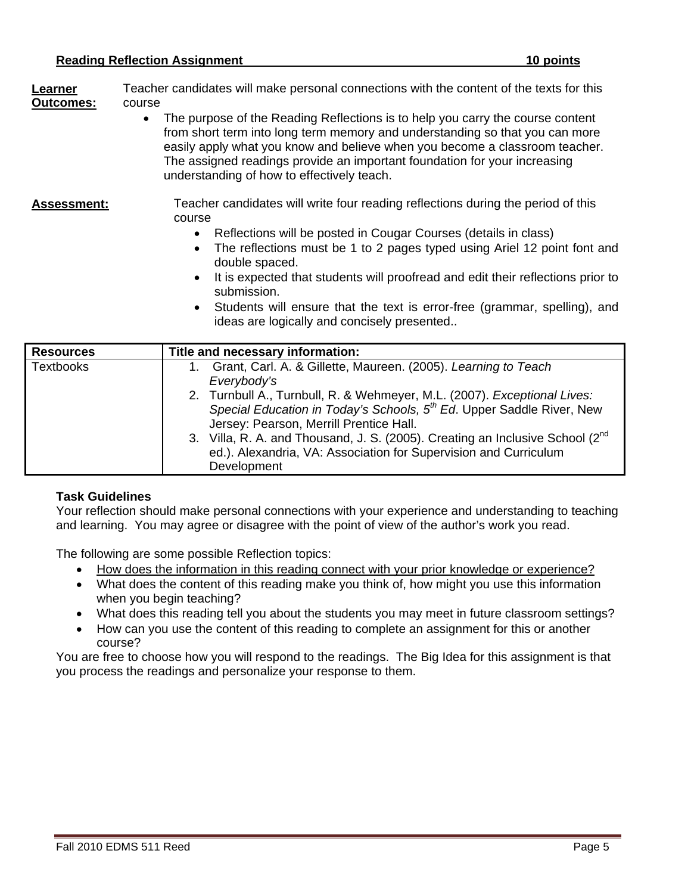**Learner** Teacher candidates will make personal connections with the content of the texts for this **Outcomes:** course

• The purpose of the Reading Reflections is to help you carry the course content from short term into long term memory and understanding so that you can more easily apply what you know and believe when you become a classroom teacher. The assigned readings provide an important foundation for your increasing understanding of how to effectively teach.

#### Assessment: Teacher candidates will write four reading reflections during the period of this course

- Reflections will be posted in Cougar Courses (details in class)
- The reflections must be 1 to 2 pages typed using Ariel 12 point font and double spaced.
- It is expected that students will proofread and edit their reflections prior to submission.
- Students will ensure that the text is error-free (grammar, spelling), and ideas are logically and concisely presented..

| <b>Resources</b> | Title and necessary information:                                                                                                                                                                                                                                                                                                                                            |
|------------------|-----------------------------------------------------------------------------------------------------------------------------------------------------------------------------------------------------------------------------------------------------------------------------------------------------------------------------------------------------------------------------|
| <b>Textbooks</b> | Grant, Carl. A. & Gillette, Maureen. (2005). Learning to Teach<br>Everybody's                                                                                                                                                                                                                                                                                               |
|                  | 2. Turnbull A., Turnbull, R. & Wehmeyer, M.L. (2007). Exceptional Lives:<br>Special Education in Today's Schools, 5 <sup>th</sup> Ed. Upper Saddle River, New<br>Jersey: Pearson, Merrill Prentice Hall.<br>3. Villa, R. A. and Thousand, J. S. (2005). Creating an Inclusive School (2 <sup>nd</sup> )<br>ed.). Alexandria, VA: Association for Supervision and Curriculum |
|                  | Development                                                                                                                                                                                                                                                                                                                                                                 |

# **Task Guidelines**

Your reflection should make personal connections with your experience and understanding to teaching and learning. You may agree or disagree with the point of view of the author's work you read.

The following are some possible Reflection topics:

- How does the information in this reading connect with your prior knowledge or experience?
- What does the content of this reading make you think of, how might you use this information when you begin teaching?
- What does this reading tell you about the students you may meet in future classroom settings?
- How can you use the content of this reading to complete an assignment for this or another course?

You are free to choose how you will respond to the readings. The Big Idea for this assignment is that you process the readings and personalize your response to them.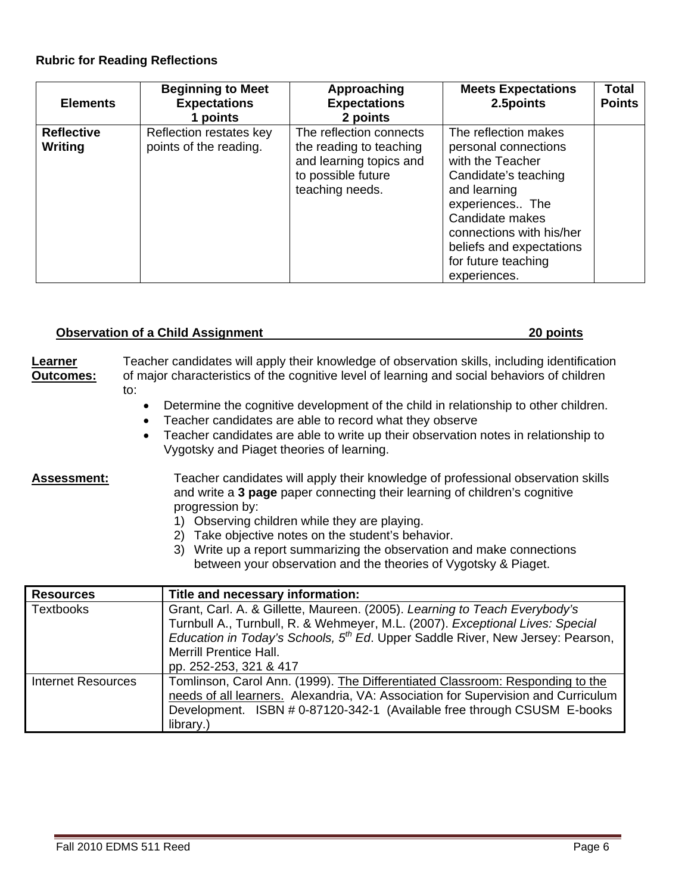#### **Rubric for Reading Reflections**

| <b>Elements</b>   | <b>Beginning to Meet</b><br><b>Expectations</b><br>1 points | Approaching<br><b>Expectations</b><br>2 points                                              | <b>Meets Expectations</b><br>2.5 points                                                                                                                                                                               | Total<br><b>Points</b> |
|-------------------|-------------------------------------------------------------|---------------------------------------------------------------------------------------------|-----------------------------------------------------------------------------------------------------------------------------------------------------------------------------------------------------------------------|------------------------|
| <b>Reflective</b> | Reflection restates key                                     | The reflection connects                                                                     | The reflection makes                                                                                                                                                                                                  |                        |
| Writing           | points of the reading.                                      | the reading to teaching<br>and learning topics and<br>to possible future<br>teaching needs. | personal connections<br>with the Teacher<br>Candidate's teaching<br>and learning<br>experiences The<br>Candidate makes<br>connections with his/her<br>beliefs and expectations<br>for future teaching<br>experiences. |                        |

#### **Observation of a Child Assignment 20 points 20 points**

| Learner          | Teacher candidates will apply their knowledge of observation skills, including identification |
|------------------|-----------------------------------------------------------------------------------------------|
| <b>Outcomes:</b> | of major characteristics of the cognitive level of learning and social behaviors of children  |
|                  | to:                                                                                           |

- Determine the cognitive development of the child in relationship to other children.
- Teacher candidates are able to record what they observe
- Teacher candidates are able to write up their observation notes in relationship to Vygotsky and Piaget theories of learning.

Assessment: Teacher candidates will apply their knowledge of professional observation skills and write a **3 page** paper connecting their learning of children's cognitive progression by:

- 1) Observing children while they are playing.
- 2) Take objective notes on the student's behavior.
- 3) Write up a report summarizing the observation and make connections between your observation and the theories of Vygotsky & Piaget.

| <b>Resources</b>          | Title and necessary information:                                                                   |  |  |
|---------------------------|----------------------------------------------------------------------------------------------------|--|--|
| <b>Textbooks</b>          | Grant, Carl. A. & Gillette, Maureen. (2005). Learning to Teach Everybody's                         |  |  |
|                           | Turnbull A., Turnbull, R. & Wehmeyer, M.L. (2007). Exceptional Lives: Special                      |  |  |
|                           | <i>Education in Today's Schools, <math>5th Ed</math>.</i> Upper Saddle River, New Jersey: Pearson, |  |  |
|                           | <b>Merrill Prentice Hall.</b>                                                                      |  |  |
|                           | pp. 252-253, 321 & 417                                                                             |  |  |
| <b>Internet Resources</b> | Tomlinson, Carol Ann. (1999). The Differentiated Classroom: Responding to the                      |  |  |
|                           | needs of all learners. Alexandria, VA: Association for Supervision and Curriculum                  |  |  |
|                           | Development. ISBN # 0-87120-342-1 (Available free through CSUSM E-books                            |  |  |
|                           | library.)                                                                                          |  |  |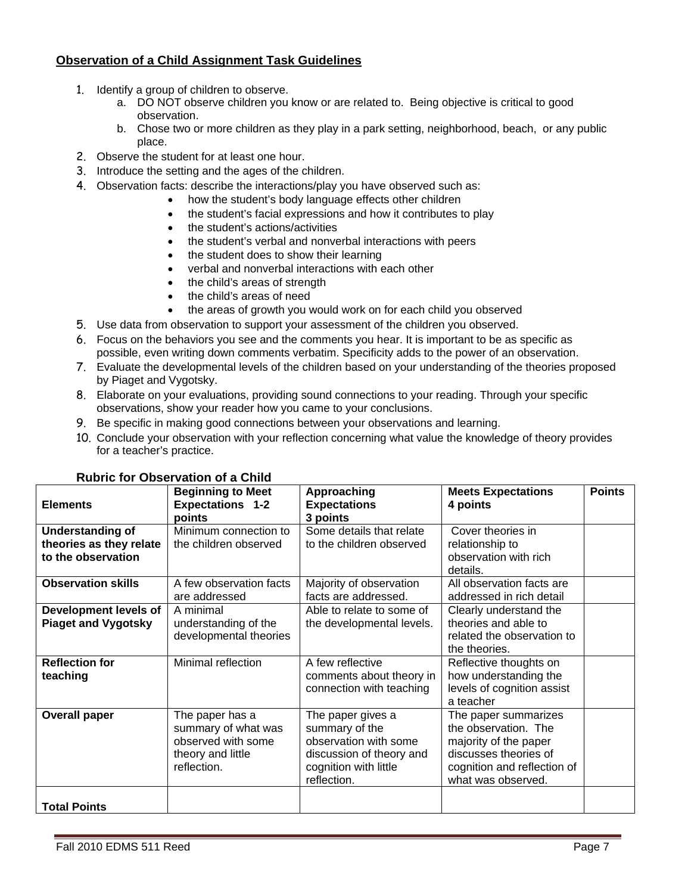# **Observation of a Child Assignment Task Guidelines**

- 1. Identify a group of children to observe.
	- a. DO NOT observe children you know or are related to. Being objective is critical to good observation.
	- b. Chose two or more children as they play in a park setting, neighborhood, beach, or any public place.
- 2. Observe the student for at least one hour.
- 3. Introduce the setting and the ages of the children.
- 4. Observation facts: describe the interactions/play you have observed such as:
	- how the student's body language effects other children
		- the student's facial expressions and how it contributes to play
		- the student's actions/activities
		- the student's verbal and nonverbal interactions with peers
		- the student does to show their learning
		- verbal and nonverbal interactions with each other
		- the child's areas of strength
	- the child's areas of need
	- the areas of growth you would work on for each child you observed
- 5. Use data from observation to support your assessment of the children you observed.
- 6. Focus on the behaviors you see and the comments you hear. It is important to be as specific as possible, even writing down comments verbatim. Specificity adds to the power of an observation.
- 7. Evaluate the developmental levels of the children based on your understanding of the theories proposed by Piaget and Vygotsky.
- 8. Elaborate on your evaluations, providing sound connections to your reading. Through your specific observations, show your reader how you came to your conclusions.
- 9. Be specific in making good connections between your observations and learning.
- 10. Conclude your observation with your reflection concerning what value the knowledge of theory provides for a teacher's practice.

|                            | <b>Beginning to Meet</b> | Approaching               | <b>Meets Expectations</b>   | <b>Points</b> |
|----------------------------|--------------------------|---------------------------|-----------------------------|---------------|
| <b>Elements</b>            | <b>Expectations 1-2</b>  | <b>Expectations</b>       | 4 points                    |               |
|                            | points                   | 3 points                  |                             |               |
| <b>Understanding of</b>    | Minimum connection to    | Some details that relate  | Cover theories in           |               |
| theories as they relate    | the children observed    | to the children observed  | relationship to             |               |
| to the observation         |                          |                           | observation with rich       |               |
|                            |                          |                           | details.                    |               |
| <b>Observation skills</b>  | A few observation facts  | Majority of observation   | All observation facts are   |               |
|                            | are addressed            | facts are addressed.      | addressed in rich detail    |               |
| Development levels of      | A minimal                | Able to relate to some of | Clearly understand the      |               |
| <b>Piaget and Vygotsky</b> | understanding of the     | the developmental levels. | theories and able to        |               |
|                            | developmental theories   |                           | related the observation to  |               |
|                            |                          |                           | the theories.               |               |
| <b>Reflection for</b>      | Minimal reflection       | A few reflective          | Reflective thoughts on      |               |
| teaching                   |                          | comments about theory in  | how understanding the       |               |
|                            |                          | connection with teaching  | levels of cognition assist  |               |
|                            |                          |                           | a teacher                   |               |
| <b>Overall paper</b>       | The paper has a          | The paper gives a         | The paper summarizes        |               |
|                            | summary of what was      | summary of the            | the observation. The        |               |
|                            | observed with some       | observation with some     | majority of the paper       |               |
|                            | theory and little        | discussion of theory and  | discusses theories of       |               |
|                            | reflection.              | cognition with little     | cognition and reflection of |               |
|                            |                          | reflection.               | what was observed.          |               |
|                            |                          |                           |                             |               |
| <b>Total Points</b>        |                          |                           |                             |               |

#### **Rubric for Observation of a Child**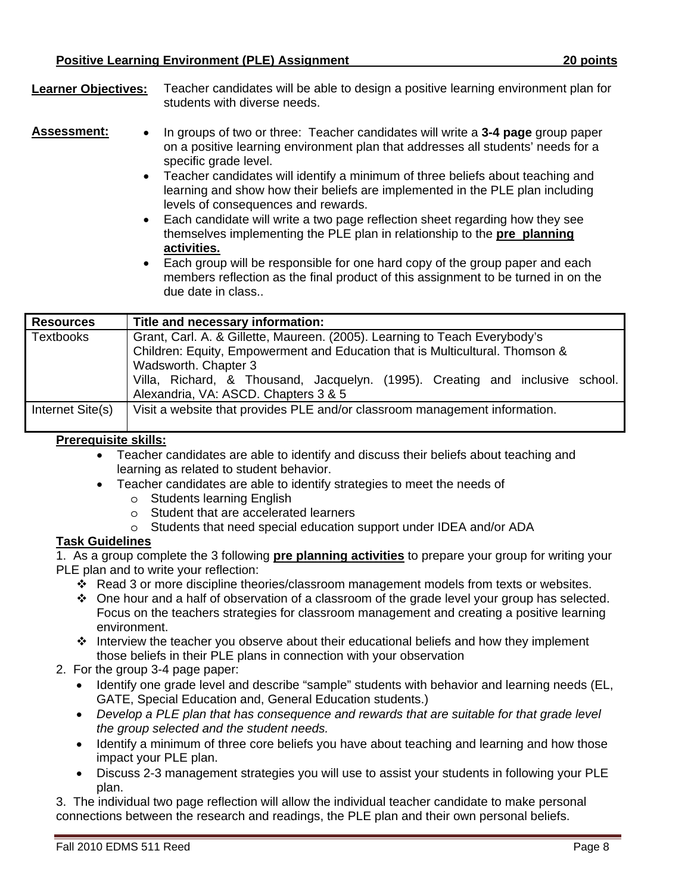| <b>Learner Objectives:</b> | Teacher candidates will be able to design a positive learning environment plan for |
|----------------------------|------------------------------------------------------------------------------------|
|                            | students with diverse needs.                                                       |

**Assessment:**  In groups of two or three: Teacher candidates will write a **3-4 page** group paper on a positive learning environment plan that addresses all students' needs for a specific grade level.

- Teacher candidates will identify a minimum of three beliefs about teaching and learning and show how their beliefs are implemented in the PLE plan including levels of consequences and rewards.
- **activities.**  Each candidate will write a two page reflection sheet regarding how they see themselves implementing the PLE plan in relationship to the **pre planning**
- Each group will be responsible for one hard copy of the group paper and each members reflection as the final product of this assignment to be turned in on the due date in class..

| <b>Resources</b> | Title and necessary information:                                                                                                                           |
|------------------|------------------------------------------------------------------------------------------------------------------------------------------------------------|
| <b>Textbooks</b> | Grant, Carl. A. & Gillette, Maureen. (2005). Learning to Teach Everybody's<br>Children: Equity, Empowerment and Education that is Multicultural. Thomson & |
|                  | Wadsworth. Chapter 3<br>Villa, Richard, & Thousand, Jacquelyn. (1995). Creating and inclusive school.                                                      |
|                  | Alexandria, VA: ASCD. Chapters 3 & 5                                                                                                                       |
| Internet Site(s) | Visit a website that provides PLE and/or classroom management information.                                                                                 |

## **Prerequisite skills:**

- Teacher candidates are able to identify and discuss their beliefs about teaching and learning as related to student behavior.
- Teacher candidates are able to identify strategies to meet the needs of
	- o Students learning English
	- o Student that are accelerated learners
	- o Students that need special education support under IDEA and/or ADA

#### **Task Guidelines**

 PLE plan and to write your reflection: 1. As a group complete the 3 following **pre planning activities** to prepare your group for writing your

- Read 3 or more discipline theories/classroom management models from texts or websites.
- One hour and a half of observation of a classroom of the grade level your group has selected. Focus on the teachers strategies for classroom management and creating a positive learning environment.
- $\cdot \cdot$  Interview the teacher you observe about their educational beliefs and how they implement those beliefs in their PLE plans in connection with your observation
- 2. For the group 3-4 page paper:
	- GATE, Special Education and, General Education students.) • Identify one grade level and describe "sample" students with behavior and learning needs (EL,
	- *Develop a PLE plan that has consequence and rewards that are suitable for that grade level the group selected and the student needs.*
	- Identify a minimum of three core beliefs you have about teaching and learning and how those impact your PLE plan.
	- Discuss 2-3 management strategies you will use to assist your students in following your PLE plan.

3. The individual two page reflection will allow the individual teacher candidate to make personal connections between the research and readings, the PLE plan and their own personal beliefs.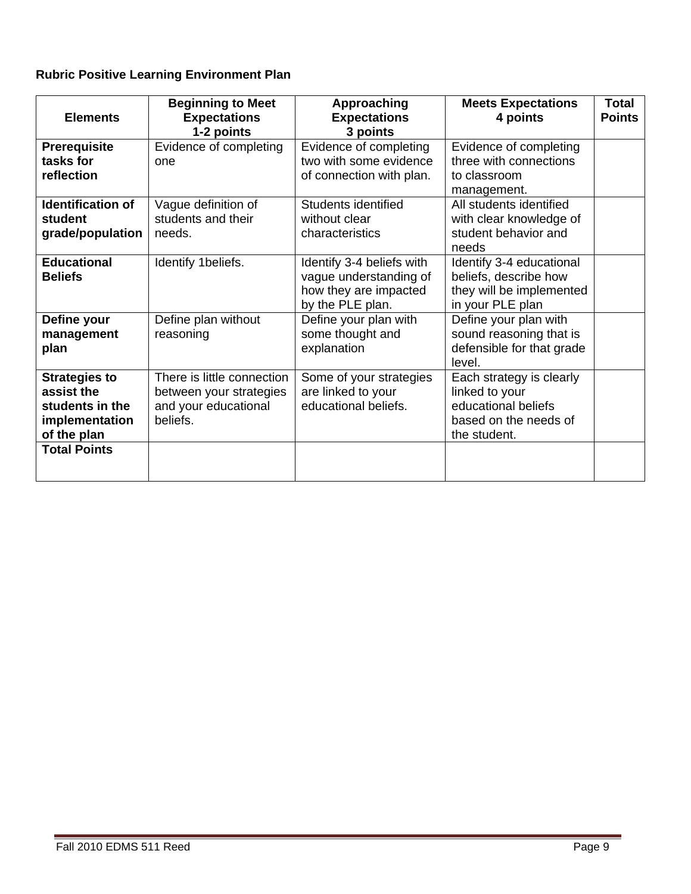# **Rubric Positive Learning Environment Plan**

| <b>Elements</b>                                                                        | <b>Beginning to Meet</b><br><b>Expectations</b><br>1-2 points                             | Approaching<br><b>Expectations</b><br>3 points                                                   | <b>Meets Expectations</b><br>4 points                                                                      | <b>Total</b><br><b>Points</b> |
|----------------------------------------------------------------------------------------|-------------------------------------------------------------------------------------------|--------------------------------------------------------------------------------------------------|------------------------------------------------------------------------------------------------------------|-------------------------------|
| <b>Prerequisite</b><br>tasks for<br>reflection                                         | Evidence of completing<br>one                                                             | Evidence of completing<br>two with some evidence<br>of connection with plan.                     | Evidence of completing<br>three with connections<br>to classroom<br>management.                            |                               |
| <b>Identification of</b><br>student<br>grade/population                                | Vague definition of<br>students and their<br>needs.                                       | Students identified<br>without clear<br>characteristics                                          | All students identified<br>with clear knowledge of<br>student behavior and<br>needs                        |                               |
| <b>Educational</b><br><b>Beliefs</b>                                                   | Identify 1beliefs.                                                                        | Identify 3-4 beliefs with<br>vague understanding of<br>how they are impacted<br>by the PLE plan. | Identify 3-4 educational<br>beliefs, describe how<br>they will be implemented<br>in your PLE plan          |                               |
| Define your<br>management<br>plan                                                      | Define plan without<br>reasoning                                                          | Define your plan with<br>some thought and<br>explanation                                         | Define your plan with<br>sound reasoning that is<br>defensible for that grade<br>level.                    |                               |
| <b>Strategies to</b><br>assist the<br>students in the<br>implementation<br>of the plan | There is little connection<br>between your strategies<br>and your educational<br>beliefs. | Some of your strategies<br>are linked to your<br>educational beliefs.                            | Each strategy is clearly<br>linked to your<br>educational beliefs<br>based on the needs of<br>the student. |                               |
| <b>Total Points</b>                                                                    |                                                                                           |                                                                                                  |                                                                                                            |                               |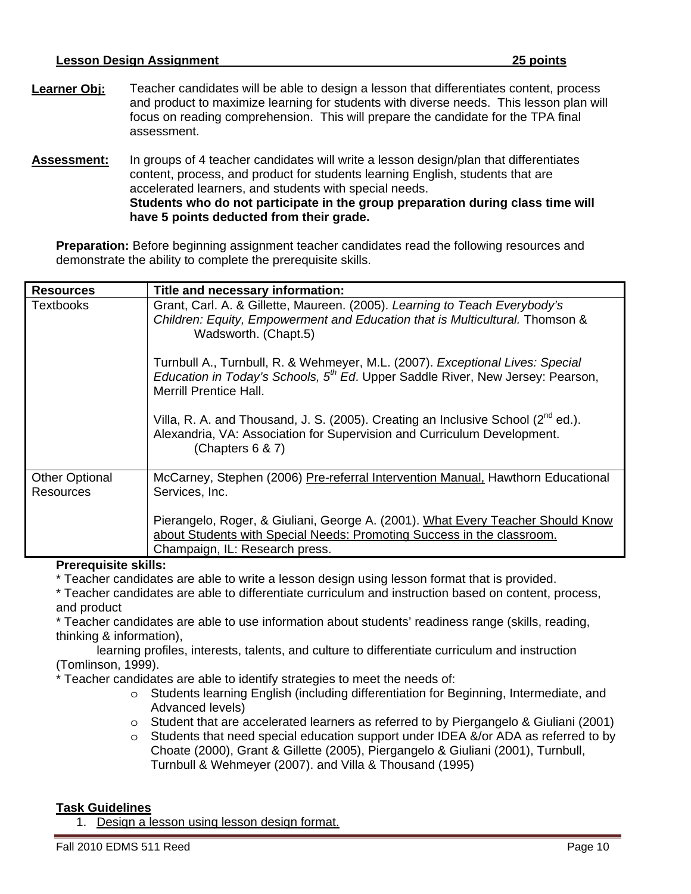|                    | <b>Lesson Design Assignment</b>                                                                                                                                                                                                                                                        | 25 points |
|--------------------|----------------------------------------------------------------------------------------------------------------------------------------------------------------------------------------------------------------------------------------------------------------------------------------|-----------|
| Learner Obj:       | Teacher candidates will be able to design a lesson that differentiates content, process<br>and product to maximize learning for students with diverse needs. This lesson plan will<br>focus on reading comprehension. This will prepare the candidate for the TPA final<br>assessment. |           |
| <b>Assessment:</b> | In groups of 4 teacher candidates will write a lesson design/plan that differentiates<br>content, process, and product for students learning English, students that are                                                                                                                |           |

have 5 points deducted from their grade. accelerated learners, and students with special needs. **Students who do not participate in the group preparation during class time will** 

**Preparation:** Before beginning assignment teacher candidates read the following resources and demonstrate the ability to complete the prerequisite skills.

| <b>Resources</b>                          | Title and necessary information:                                                                                                                                                                                     |
|-------------------------------------------|----------------------------------------------------------------------------------------------------------------------------------------------------------------------------------------------------------------------|
| <b>Textbooks</b>                          | Grant, Carl. A. & Gillette, Maureen. (2005). Learning to Teach Everybody's<br>Children: Equity, Empowerment and Education that is Multicultural. Thomson &<br>Wadsworth. (Chapt.5)                                   |
|                                           | Turnbull A., Turnbull, R. & Wehmeyer, M.L. (2007). Exceptional Lives: Special<br><i>Education in Today's Schools, <math>5th Ed</math>.</i> Upper Saddle River, New Jersey: Pearson,<br><b>Merrill Prentice Hall.</b> |
|                                           | Villa, R. A. and Thousand, J. S. (2005). Creating an Inclusive School ( $2^{nd}$ ed.).<br>Alexandria, VA: Association for Supervision and Curriculum Development.<br>(Chapters $6 & 7$ )                             |
| <b>Other Optional</b><br><b>Resources</b> | McCarney, Stephen (2006) Pre-referral Intervention Manual, Hawthorn Educational<br>Services, Inc.                                                                                                                    |
|                                           | Pierangelo, Roger, & Giuliani, George A. (2001). What Every Teacher Should Know<br>about Students with Special Needs: Promoting Success in the classroom.<br>Champaign, IL: Research press.                          |

#### **Prerequisite skills:**

\* Teacher candidates are able to write a lesson design using lesson format that is provided.

\* Teacher candidates are able to differentiate curriculum and instruction based on content, process, and product

\* Teacher candidates are able to use information about students' readiness range (skills, reading, thinking & information),

learning profiles, interests, talents, and culture to differentiate curriculum and instruction (Tomlinson, 1999).

\* Teacher candidates are able to identify strategies to meet the needs of:

- o Students learning English (including differentiation for Beginning, Intermediate, and Advanced levels)
- $\circ$  Student that are accelerated learners as referred to by Piergangelo & Giuliani (2001)
- $\circ$  Students that need special education support under IDEA &/or ADA as referred to by Choate (2000), Grant & Gillette (2005), Piergangelo & Giuliani (2001), Turnbull, Turnbull & Wehmeyer (2007). and Villa & Thousand (1995)

#### **Task Guidelines**

1. Design a lesson using lesson design format.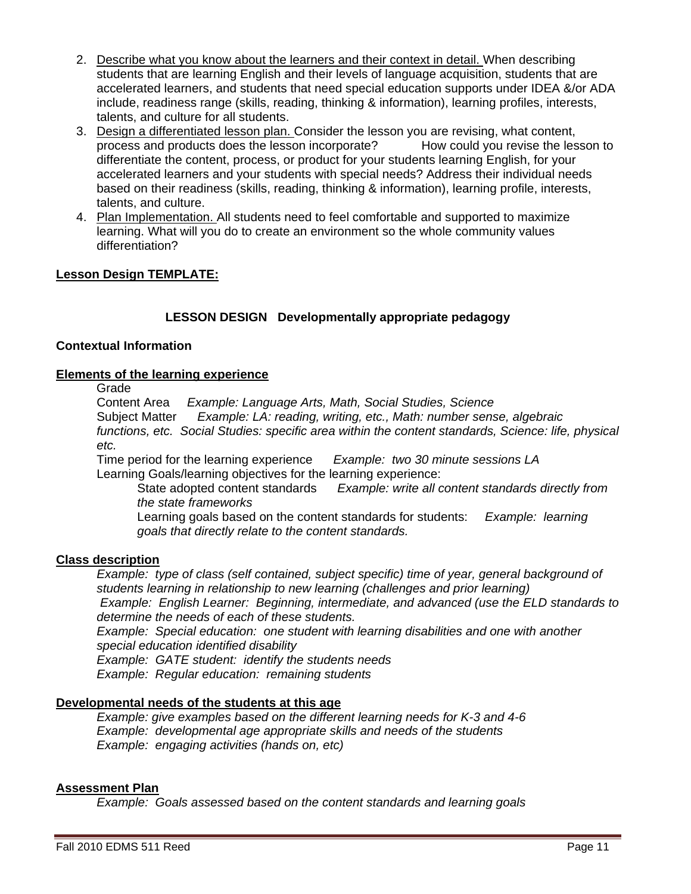- 2. Describe what you know about the learners and their context in detail. When describing students that are learning English and their levels of language acquisition, students that are accelerated learners, and students that need special education supports under IDEA &/or ADA include, readiness range (skills, reading, thinking & information), learning profiles, interests, talents, and culture for all students.
- 3. Design a differentiated lesson plan. Consider the lesson you are revising, what content, process and products does the lesson incorporate? How could you revise the lesson to differentiate the content, process, or product for your students learning English, for your accelerated learners and your students with special needs? Address their individual needs based on their readiness (skills, reading, thinking & information), learning profile, interests, talents, and culture.
- 4. Plan Implementation. All students need to feel comfortable and supported to maximize learning. What will you do to create an environment so the whole community values differentiation?

#### **Lesson Design TEMPLATE:**

# **LESSON DESIGN Developmentally appropriate pedagogy**

#### **Contextual Information**

### **Elements of the learning experience**

Grade

Content Area *Example: Language Arts, Math, Social Studies, Science*  Subject Matter *Example: LA: reading, writing, etc., Math: number sense, algebraic functions, etc. Social Studies: specific area within the content standards, Science: life, physical* 

*etc.* 

Time period for the learning experience *Example: two 30 minute sessions LA*  Learning Goals/learning objectives for the learning experience:

State adopted content standards *Example: write all content standards directly from the state frameworks* 

 Learning goals based on the content standards for students: *Example: learning goals that directly relate to the content standards.* 

#### **Class description**

*Example: type of class (self contained, subject specific) time of year, general background of students learning in relationship to new learning (challenges and prior learning) Example: English Learner: Beginning, intermediate, and advanced (use the ELD standards to determine the needs of each of these students. Example: Special education: one student with learning disabilities and one with another special education identified disability* 

*Example: GATE student: identify the students needs* 

*Example: Regular education: remaining students* 

#### **Developmental needs of the students at this age**

*Example: give examples based on the different learning needs for K-3 and 4-6 Example: developmental age appropriate skills and needs of the students Example: engaging activities (hands on, etc)*

# **Assessment Plan**

*Example: Goals assessed based on the content standards and learning goals*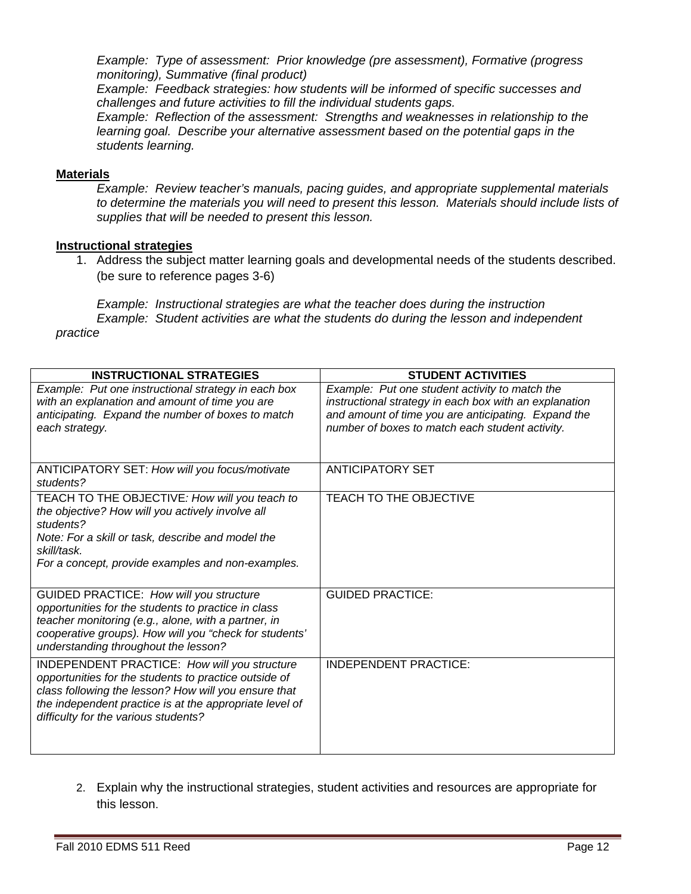*Example: Type of assessment: Prior knowledge (pre assessment), Formative (progress monitoring), Summative (final product)* 

*Example: Feedback strategies: how students will be informed of specific successes and challenges and future activities to fill the individual students gaps.* 

*Example: Reflection of the assessment: Strengths and weaknesses in relationship to the learning goal. Describe your alternative assessment based on the potential gaps in the students learning.* 

#### **Materials**

*Example: Review teacher's manuals, pacing guides, and appropriate supplemental materials to determine the materials you will need to present this lesson. Materials should include lists of supplies that will be needed to present this lesson.* 

## **Instructional strategies**

1. Address the subject matter learning goals and developmental needs of the students described. (be sure to reference pages 3-6)

*Example: Instructional strategies are what the teacher does during the instruction Example: Student activities are what the students do during the lesson and independent practice* 

| <b>INSTRUCTIONAL STRATEGIES</b>                                                                                                                                                                                                                                  | <b>STUDENT ACTIVITIES</b>                                                                                                                                                                                          |
|------------------------------------------------------------------------------------------------------------------------------------------------------------------------------------------------------------------------------------------------------------------|--------------------------------------------------------------------------------------------------------------------------------------------------------------------------------------------------------------------|
| Example: Put one instructional strategy in each box<br>with an explanation and amount of time you are<br>anticipating. Expand the number of boxes to match<br>each strategy.                                                                                     | Example: Put one student activity to match the<br>instructional strategy in each box with an explanation<br>and amount of time you are anticipating. Expand the<br>number of boxes to match each student activity. |
| ANTICIPATORY SET: How will you focus/motivate<br>students?                                                                                                                                                                                                       | <b>ANTICIPATORY SET</b>                                                                                                                                                                                            |
| TEACH TO THE OBJECTIVE: How will you teach to<br>the objective? How will you actively involve all<br>students?<br>Note: For a skill or task, describe and model the<br>skill/task.<br>For a concept, provide examples and non-examples.                          | <b>TEACH TO THE OBJECTIVE</b>                                                                                                                                                                                      |
| GUIDED PRACTICE: How will you structure<br>opportunities for the students to practice in class<br>teacher monitoring (e.g., alone, with a partner, in<br>cooperative groups). How will you "check for students'<br>understanding throughout the lesson?          | <b>GUIDED PRACTICE:</b>                                                                                                                                                                                            |
| INDEPENDENT PRACTICE: How will you structure<br>opportunities for the students to practice outside of<br>class following the lesson? How will you ensure that<br>the independent practice is at the appropriate level of<br>difficulty for the various students? | <b>INDEPENDENT PRACTICE:</b>                                                                                                                                                                                       |

2. Explain why the instructional strategies, student activities and resources are appropriate for this lesson.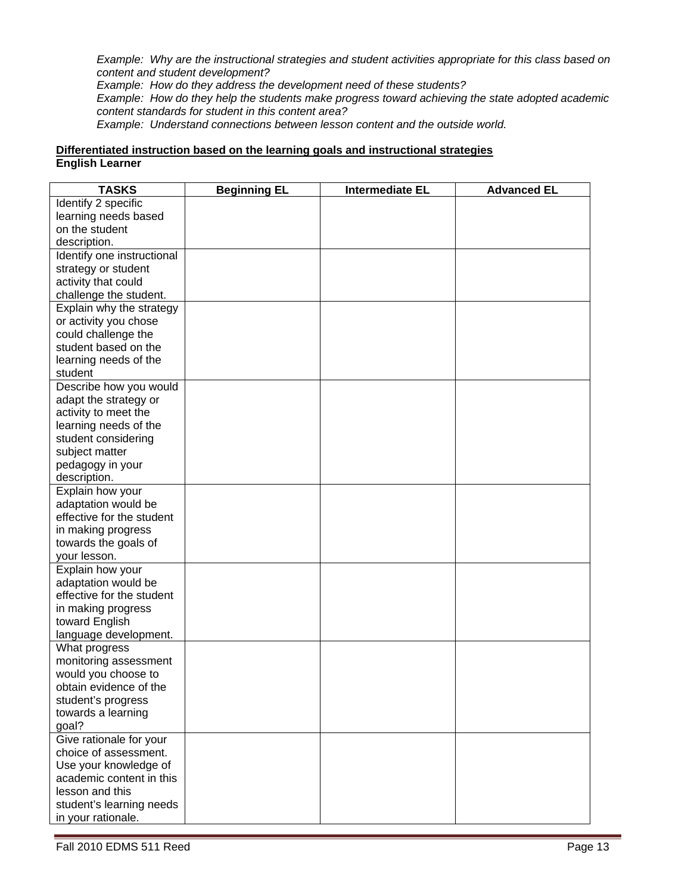*Example: Why are the instructional strategies and student activities appropriate for this class based on content and student development?* 

*Example: How do they address the development need of these students?*

*Example: How do they help the students make progress toward achieving the state adopted academic content standards for student in this content area?*

*Example: Understand connections between lesson content and the outside world.* 

# Differentiated instruction based on the learning goals and instructional strategies<br>English Learner

| <b>TASKS</b>               | <b>Beginning EL</b> | <b>Intermediate EL</b> | <b>Advanced EL</b> |
|----------------------------|---------------------|------------------------|--------------------|
| Identify 2 specific        |                     |                        |                    |
| learning needs based       |                     |                        |                    |
| on the student             |                     |                        |                    |
| description.               |                     |                        |                    |
| Identify one instructional |                     |                        |                    |
| strategy or student        |                     |                        |                    |
| activity that could        |                     |                        |                    |
| challenge the student.     |                     |                        |                    |
| Explain why the strategy   |                     |                        |                    |
| or activity you chose      |                     |                        |                    |
| could challenge the        |                     |                        |                    |
| student based on the       |                     |                        |                    |
| learning needs of the      |                     |                        |                    |
| student                    |                     |                        |                    |
| Describe how you would     |                     |                        |                    |
| adapt the strategy or      |                     |                        |                    |
| activity to meet the       |                     |                        |                    |
| learning needs of the      |                     |                        |                    |
| student considering        |                     |                        |                    |
| subject matter             |                     |                        |                    |
| pedagogy in your           |                     |                        |                    |
| description.               |                     |                        |                    |
| Explain how your           |                     |                        |                    |
| adaptation would be        |                     |                        |                    |
| effective for the student  |                     |                        |                    |
| in making progress         |                     |                        |                    |
| towards the goals of       |                     |                        |                    |
| your lesson.               |                     |                        |                    |
| Explain how your           |                     |                        |                    |
| adaptation would be        |                     |                        |                    |
| effective for the student  |                     |                        |                    |
| in making progress         |                     |                        |                    |
| toward English             |                     |                        |                    |
| language development.      |                     |                        |                    |
| What progress              |                     |                        |                    |
| monitoring assessment      |                     |                        |                    |
| would you choose to        |                     |                        |                    |
| obtain evidence of the     |                     |                        |                    |
| student's progress         |                     |                        |                    |
| towards a learning         |                     |                        |                    |
| goal?                      |                     |                        |                    |
| Give rationale for your    |                     |                        |                    |
| choice of assessment.      |                     |                        |                    |
| Use your knowledge of      |                     |                        |                    |
| academic content in this   |                     |                        |                    |
| lesson and this            |                     |                        |                    |
| student's learning needs   |                     |                        |                    |
| in your rationale.         |                     |                        |                    |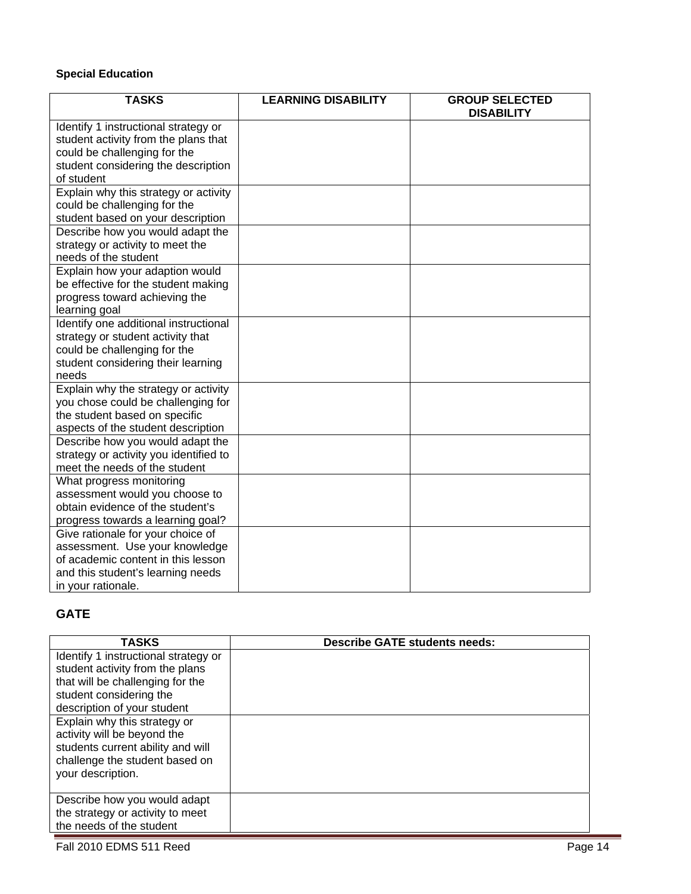## **Special Education**

| <b>TASKS</b>                                                            | <b>LEARNING DISABILITY</b> | <b>GROUP SELECTED</b><br><b>DISABILITY</b> |
|-------------------------------------------------------------------------|----------------------------|--------------------------------------------|
| Identify 1 instructional strategy or                                    |                            |                                            |
| student activity from the plans that                                    |                            |                                            |
| could be challenging for the                                            |                            |                                            |
|                                                                         |                            |                                            |
| student considering the description<br>of student                       |                            |                                            |
|                                                                         |                            |                                            |
| Explain why this strategy or activity                                   |                            |                                            |
| could be challenging for the                                            |                            |                                            |
| student based on your description                                       |                            |                                            |
| Describe how you would adapt the                                        |                            |                                            |
| strategy or activity to meet the                                        |                            |                                            |
| needs of the student                                                    |                            |                                            |
| Explain how your adaption would                                         |                            |                                            |
| be effective for the student making                                     |                            |                                            |
| progress toward achieving the                                           |                            |                                            |
| learning goal                                                           |                            |                                            |
| Identify one additional instructional                                   |                            |                                            |
| strategy or student activity that<br>could be challenging for the       |                            |                                            |
|                                                                         |                            |                                            |
| student considering their learning                                      |                            |                                            |
| needs                                                                   |                            |                                            |
| Explain why the strategy or activity                                    |                            |                                            |
| you chose could be challenging for                                      |                            |                                            |
| the student based on specific                                           |                            |                                            |
| aspects of the student description                                      |                            |                                            |
| Describe how you would adapt the                                        |                            |                                            |
| strategy or activity you identified to<br>meet the needs of the student |                            |                                            |
|                                                                         |                            |                                            |
| What progress monitoring<br>assessment would you choose to              |                            |                                            |
| obtain evidence of the student's                                        |                            |                                            |
|                                                                         |                            |                                            |
| progress towards a learning goal?                                       |                            |                                            |
| Give rationale for your choice of<br>assessment. Use your knowledge     |                            |                                            |
| of academic content in this lesson                                      |                            |                                            |
|                                                                         |                            |                                            |
| and this student's learning needs                                       |                            |                                            |
| in your rationale.                                                      |                            |                                            |

# **GATE**

| <b>TASKS</b>                         | <b>Describe GATE students needs:</b> |
|--------------------------------------|--------------------------------------|
| Identify 1 instructional strategy or |                                      |
| student activity from the plans      |                                      |
| that will be challenging for the     |                                      |
| student considering the              |                                      |
| description of your student          |                                      |
| Explain why this strategy or         |                                      |
| activity will be beyond the          |                                      |
| students current ability and will    |                                      |
| challenge the student based on       |                                      |
| your description.                    |                                      |
|                                      |                                      |
| Describe how you would adapt         |                                      |
| the strategy or activity to meet     |                                      |
| the needs of the student             |                                      |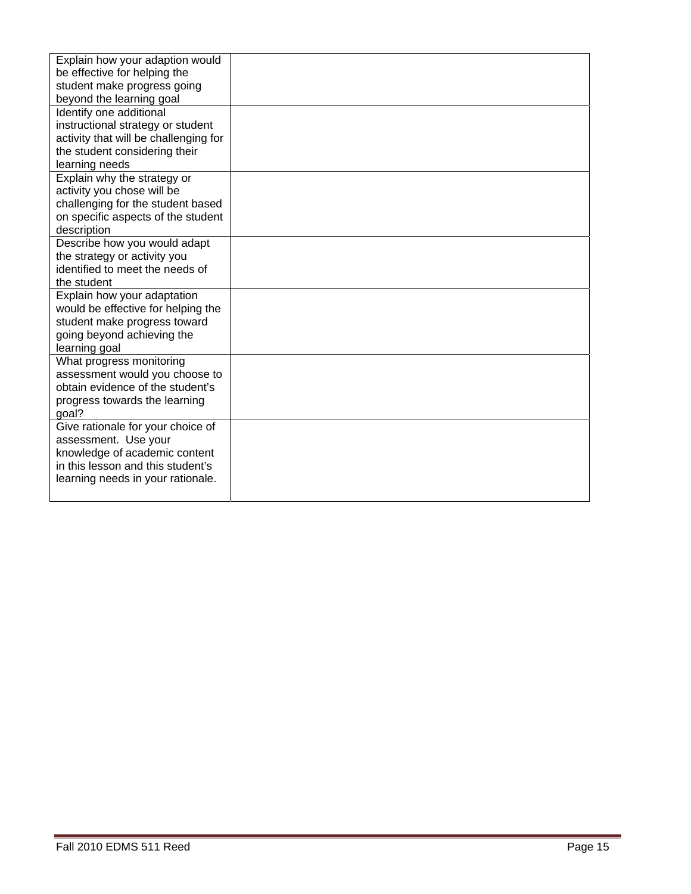| Explain how your adaption would                           |  |
|-----------------------------------------------------------|--|
| be effective for helping the                              |  |
| student make progress going                               |  |
| beyond the learning goal                                  |  |
| Identify one additional                                   |  |
| instructional strategy or student                         |  |
| activity that will be challenging for                     |  |
| the student considering their                             |  |
| learning needs                                            |  |
| Explain why the strategy or                               |  |
| activity you chose will be                                |  |
| challenging for the student based                         |  |
| on specific aspects of the student                        |  |
| description                                               |  |
| Describe how you would adapt                              |  |
| the strategy or activity you                              |  |
| identified to meet the needs of                           |  |
| the student                                               |  |
| Explain how your adaptation                               |  |
| would be effective for helping the                        |  |
| student make progress toward                              |  |
| going beyond achieving the                                |  |
| learning goal                                             |  |
| What progress monitoring                                  |  |
| assessment would you choose to                            |  |
| obtain evidence of the student's                          |  |
| progress towards the learning                             |  |
| goal?                                                     |  |
| Give rationale for your choice of<br>assessment. Use your |  |
| knowledge of academic content                             |  |
| in this lesson and this student's                         |  |
| learning needs in your rationale.                         |  |
|                                                           |  |
|                                                           |  |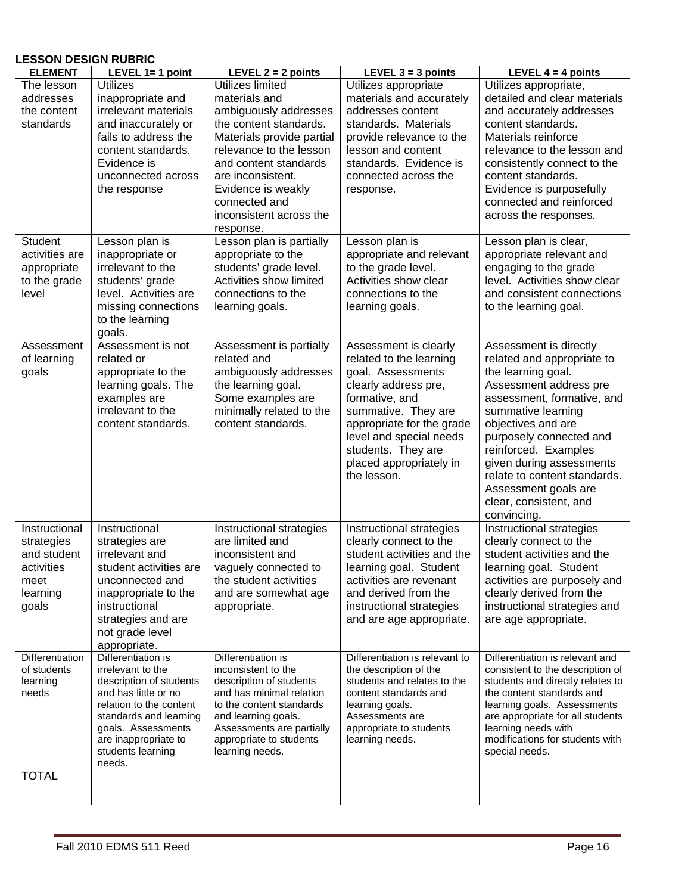#### **LESSON DESIGN RUBRIC**

| <b>ELEMENT</b>                 | LEVEL 1= 1 point                        | LEVEL $2 = 2$ points                      | LEVEL $3 = 3$ points                                     | LEVEL $4 = 4$ points                                                 |
|--------------------------------|-----------------------------------------|-------------------------------------------|----------------------------------------------------------|----------------------------------------------------------------------|
| The lesson                     | <b>Utilizes</b>                         | Utilizes limited                          | Utilizes appropriate                                     | Utilizes appropriate,                                                |
| addresses                      | inappropriate and                       | materials and                             | materials and accurately                                 | detailed and clear materials                                         |
| the content                    | irrelevant materials                    | ambiguously addresses                     | addresses content                                        | and accurately addresses                                             |
| standards                      | and inaccurately or                     | the content standards.                    | standards. Materials                                     | content standards.                                                   |
|                                | fails to address the                    | Materials provide partial                 | provide relevance to the                                 | Materials reinforce                                                  |
|                                | content standards.                      | relevance to the lesson                   | lesson and content                                       | relevance to the lesson and                                          |
|                                | Evidence is                             | and content standards                     | standards. Evidence is                                   | consistently connect to the                                          |
|                                | unconnected across                      | are inconsistent.                         | connected across the                                     | content standards.                                                   |
|                                | the response                            | Evidence is weakly                        | response.                                                | Evidence is purposefully                                             |
|                                |                                         | connected and                             |                                                          | connected and reinforced                                             |
|                                |                                         | inconsistent across the                   |                                                          | across the responses.                                                |
|                                |                                         | response.                                 |                                                          |                                                                      |
| Student                        | Lesson plan is                          | Lesson plan is partially                  | Lesson plan is                                           | Lesson plan is clear,                                                |
| activities are                 | inappropriate or                        | appropriate to the                        | appropriate and relevant                                 | appropriate relevant and                                             |
| appropriate                    | irrelevant to the                       | students' grade level.                    | to the grade level.                                      | engaging to the grade                                                |
| to the grade                   | students' grade                         | Activities show limited                   | Activities show clear                                    | level. Activities show clear                                         |
| level                          | level. Activities are                   | connections to the                        | connections to the                                       | and consistent connections                                           |
|                                | missing connections                     | learning goals.                           | learning goals.                                          | to the learning goal.                                                |
|                                | to the learning                         |                                           |                                                          |                                                                      |
|                                | goals.                                  |                                           |                                                          |                                                                      |
| Assessment                     | Assessment is not                       | Assessment is partially                   | Assessment is clearly                                    | Assessment is directly                                               |
| of learning                    | related or                              | related and                               | related to the learning                                  | related and appropriate to                                           |
| goals                          | appropriate to the                      | ambiguously addresses                     | goal. Assessments                                        | the learning goal.                                                   |
|                                | learning goals. The                     | the learning goal.                        | clearly address pre,                                     | Assessment address pre                                               |
|                                | examples are                            | Some examples are                         | formative, and                                           | assessment, formative, and                                           |
|                                | irrelevant to the                       | minimally related to the                  | summative. They are                                      | summative learning                                                   |
|                                | content standards.                      | content standards.                        | appropriate for the grade                                | objectives and are                                                   |
|                                |                                         |                                           | level and special needs                                  | purposely connected and                                              |
|                                |                                         |                                           | students. They are                                       | reinforced. Examples                                                 |
|                                |                                         |                                           | placed appropriately in                                  | given during assessments                                             |
|                                |                                         |                                           | the lesson.                                              | relate to content standards.                                         |
|                                |                                         |                                           |                                                          | Assessment goals are                                                 |
|                                |                                         |                                           |                                                          | clear, consistent, and                                               |
|                                |                                         |                                           |                                                          | convincing.                                                          |
| Instructional                  | Instructional                           | Instructional strategies                  | Instructional strategies                                 | Instructional strategies                                             |
| strategies                     | strategies are                          | are limited and                           | clearly connect to the                                   | clearly connect to the                                               |
| and student                    | irrelevant and                          | inconsistent and                          | student activities and the                               | student activities and the                                           |
| activities                     | student activities are                  | vaguely connected to                      | learning goal. Student                                   | learning goal. Student                                               |
| meet                           | unconnected and                         | the student activities                    | activities are revenant                                  | activities are purposely and                                         |
| learning                       | inappropriate to the                    | and are somewhat age                      | and derived from the                                     | clearly derived from the                                             |
| goals                          | instructional                           | appropriate.                              | instructional strategies                                 | instructional strategies and                                         |
|                                | strategies and are                      |                                           | and are age appropriate.                                 | are age appropriate.                                                 |
|                                | not grade level                         |                                           |                                                          |                                                                      |
|                                | appropriate.                            |                                           |                                                          |                                                                      |
| Differentiation<br>of students | Differentiation is<br>irrelevant to the | Differentiation is<br>inconsistent to the | Differentiation is relevant to<br>the description of the | Differentiation is relevant and                                      |
| learning                       | description of students                 | description of students                   | students and relates to the                              | consistent to the description of<br>students and directly relates to |
| needs                          | and has little or no                    | and has minimal relation                  | content standards and                                    | the content standards and                                            |
|                                | relation to the content                 | to the content standards                  | learning goals.                                          | learning goals. Assessments                                          |
|                                | standards and learning                  | and learning goals.                       | Assessments are                                          | are appropriate for all students                                     |
|                                | goals. Assessments                      | Assessments are partially                 | appropriate to students                                  | learning needs with                                                  |
|                                | are inappropriate to                    | appropriate to students                   | learning needs.                                          | modifications for students with                                      |
|                                | students learning                       | learning needs.                           |                                                          | special needs.                                                       |
| <b>TOTAL</b>                   | needs.                                  |                                           |                                                          |                                                                      |
|                                |                                         |                                           |                                                          |                                                                      |
|                                |                                         |                                           |                                                          |                                                                      |
|                                |                                         |                                           |                                                          |                                                                      |
|                                |                                         |                                           |                                                          |                                                                      |
|                                | Fall 2010 EDMS 511 Reed                 |                                           |                                                          | Page 16                                                              |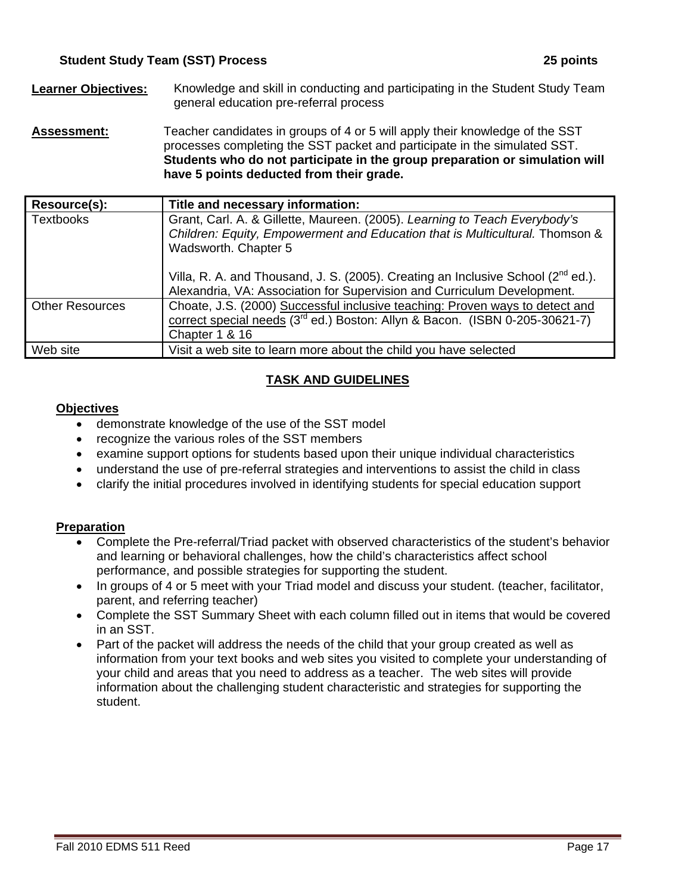- **Learner Objectives:** Knowledge and skill in conducting and participating in the Student Study Team general education pre-referral process
- **Assessment:** Teacher candidates in groups of 4 or 5 will apply their knowledge of the SST processes completing the SST packet and participate in the simulated SST. **Students who do not participate in the group preparation or simulation will have 5 points deducted from their grade.**

| Resource(s):           | Title and necessary information:                                                                                                                                                          |
|------------------------|-------------------------------------------------------------------------------------------------------------------------------------------------------------------------------------------|
| <b>Textbooks</b>       | Grant, Carl. A. & Gillette, Maureen. (2005). Learning to Teach Everybody's<br>Children: Equity, Empowerment and Education that is Multicultural. Thomson &<br>Wadsworth. Chapter 5        |
|                        | Villa, R. A. and Thousand, J. S. (2005). Creating an Inclusive School ( $2^{nd}$ ed.).<br>Alexandria, VA: Association for Supervision and Curriculum Development.                         |
| <b>Other Resources</b> | Choate, J.S. (2000) Successful inclusive teaching: Proven ways to detect and<br>correct special needs (3 <sup>rd</sup> ed.) Boston: Allyn & Bacon. (ISBN 0-205-30621-7)<br>Chapter 1 & 16 |
| Web site               | Visit a web site to learn more about the child you have selected                                                                                                                          |

# **TASK AND GUIDELINES**

## **Objectives**

- demonstrate knowledge of the use of the SST model
- recognize the various roles of the SST members
- examine support options for students based upon their unique individual characteristics
- understand the use of pre-referral strategies and interventions to assist the child in class
- clarify the initial procedures involved in identifying students for special education support

#### **Preparation**

- Complete the Pre-referral/Triad packet with observed characteristics of the student's behavior and learning or behavioral challenges, how the child's characteristics affect school performance, and possible strategies for supporting the student.
- In groups of 4 or 5 meet with your Triad model and discuss your student. (teacher, facilitator, parent, and referring teacher)
- Complete the SST Summary Sheet with each column filled out in items that would be covered in an SST.
- Part of the packet will address the needs of the child that your group created as well as information from your text books and web sites you visited to complete your understanding of your child and areas that you need to address as a teacher. The web sites will provide information about the challenging student characteristic and strategies for supporting the student.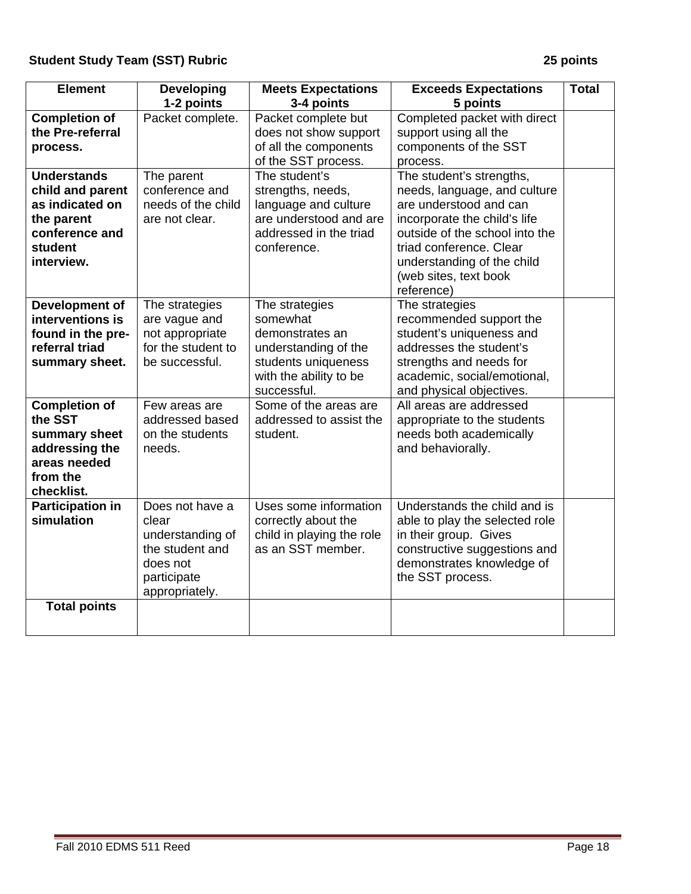| <b>Element</b>                                                                                               | <b>Developing</b><br>1-2 points                                                                              | <b>Meets Expectations</b><br>3-4 points                                                                                               | <b>Exceeds Expectations</b><br>5 points                                                                                                                                                                                  | <b>Total</b> |
|--------------------------------------------------------------------------------------------------------------|--------------------------------------------------------------------------------------------------------------|---------------------------------------------------------------------------------------------------------------------------------------|--------------------------------------------------------------------------------------------------------------------------------------------------------------------------------------------------------------------------|--------------|
| <b>Completion of</b><br>the Pre-referral<br>process.<br><b>Understands</b>                                   | Packet complete.<br>The parent                                                                               | Packet complete but<br>does not show support<br>of all the components<br>of the SST process.<br>The student's                         | Completed packet with direct<br>support using all the<br>components of the SST<br>process.<br>The student's strengths,                                                                                                   |              |
| child and parent<br>as indicated on<br>the parent<br>conference and<br>student<br>interview.                 | conference and<br>needs of the child<br>are not clear.                                                       | strengths, needs,<br>language and culture<br>are understood and are<br>addressed in the triad<br>conference.                          | needs, language, and culture<br>are understood and can<br>incorporate the child's life<br>outside of the school into the<br>triad conference. Clear<br>understanding of the child<br>(web sites, text book<br>reference) |              |
| Development of<br>interventions is<br>found in the pre-<br>referral triad<br>summary sheet.                  | The strategies<br>are vague and<br>not appropriate<br>for the student to<br>be successful.                   | The strategies<br>somewhat<br>demonstrates an<br>understanding of the<br>students uniqueness<br>with the ability to be<br>successful. | The strategies<br>recommended support the<br>student's uniqueness and<br>addresses the student's<br>strengths and needs for<br>academic, social/emotional,<br>and physical objectives.                                   |              |
| <b>Completion of</b><br>the SST<br>summary sheet<br>addressing the<br>areas needed<br>from the<br>checklist. | Few areas are<br>addressed based<br>on the students<br>needs.                                                | Some of the areas are<br>addressed to assist the<br>student.                                                                          | All areas are addressed<br>appropriate to the students<br>needs both academically<br>and behaviorally.                                                                                                                   |              |
| <b>Participation in</b><br>simulation                                                                        | Does not have a<br>clear<br>understanding of<br>the student and<br>does not<br>participate<br>appropriately. | Uses some information<br>correctly about the<br>child in playing the role<br>as an SST member.                                        | Understands the child and is<br>able to play the selected role<br>in their group. Gives<br>constructive suggestions and<br>demonstrates knowledge of<br>the SST process.                                                 |              |
| <b>Total points</b>                                                                                          |                                                                                                              |                                                                                                                                       |                                                                                                                                                                                                                          |              |